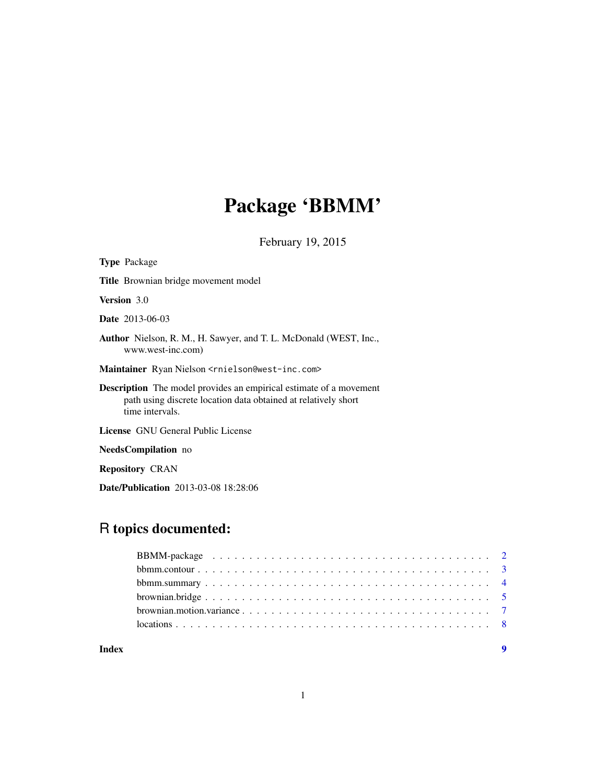# Package 'BBMM'

February 19, 2015

| <b>Type Package</b>                                                                                                                                            |
|----------------------------------------------------------------------------------------------------------------------------------------------------------------|
| <b>Title</b> Brownian bridge movement model                                                                                                                    |
| <b>Version</b> 3.0                                                                                                                                             |
| <b>Date</b> 2013-06-03                                                                                                                                         |
| Author Nielson, R. M., H. Sawyer, and T. L. McDonald (WEST, Inc.,<br>www.west-inc.com)                                                                         |
| Maintainer Ryan Nielson <rnielson@west-inc.com></rnielson@west-inc.com>                                                                                        |
| <b>Description</b> The model provides an empirical estimate of a movement<br>path using discrete location data obtained at relatively short<br>time intervals. |
| <b>License</b> GNU General Public License                                                                                                                      |
| <b>NeedsCompilation</b> no                                                                                                                                     |

Repository CRAN

Date/Publication 2013-03-08 18:28:06

# R topics documented:

#### **Index** [9](#page-8-0)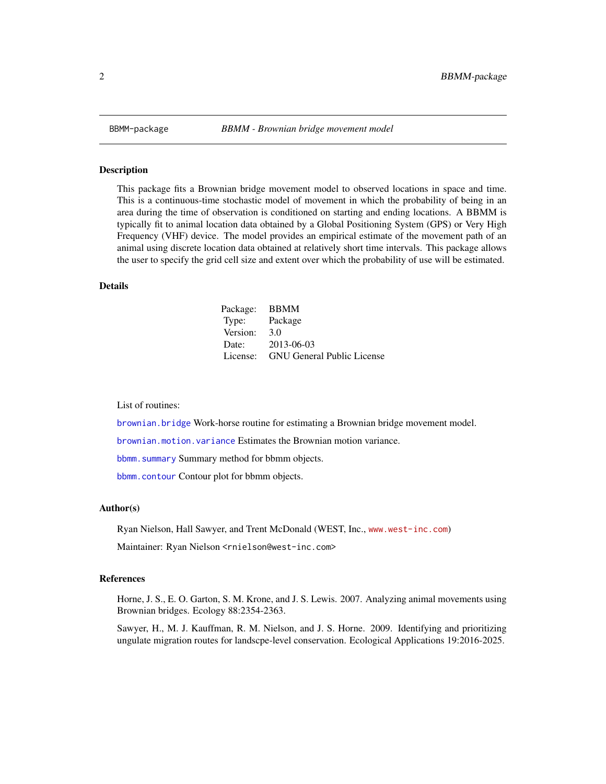<span id="page-1-0"></span>

#### Description

This package fits a Brownian bridge movement model to observed locations in space and time. This is a continuous-time stochastic model of movement in which the probability of being in an area during the time of observation is conditioned on starting and ending locations. A BBMM is typically fit to animal location data obtained by a Global Positioning System (GPS) or Very High Frequency (VHF) device. The model provides an empirical estimate of the movement path of an animal using discrete location data obtained at relatively short time intervals. This package allows the user to specify the grid cell size and extent over which the probability of use will be estimated.

#### Details

| Package: | <b>BBMM</b>                       |
|----------|-----------------------------------|
| Type:    | Package                           |
| Version: | 3.0                               |
| Date:    | 2013-06-03                        |
| License: | <b>GNU General Public License</b> |

List of routines:

[brownian.bridge](#page-4-1) Work-horse routine for estimating a Brownian bridge movement model.

[brownian.motion.variance](#page-6-1) Estimates the Brownian motion variance.

[bbmm.summary](#page-3-1) Summary method for bbmm objects.

[bbmm.contour](#page-2-1) Contour plot for bbmm objects.

#### Author(s)

Ryan Nielson, Hall Sawyer, and Trent McDonald (WEST, Inc., <www.west-inc.com>)

Maintainer: Ryan Nielson <rnielson@west-inc.com>

#### References

Horne, J. S., E. O. Garton, S. M. Krone, and J. S. Lewis. 2007. Analyzing animal movements using Brownian bridges. Ecology 88:2354-2363.

Sawyer, H., M. J. Kauffman, R. M. Nielson, and J. S. Horne. 2009. Identifying and prioritizing ungulate migration routes for landscpe-level conservation. Ecological Applications 19:2016-2025.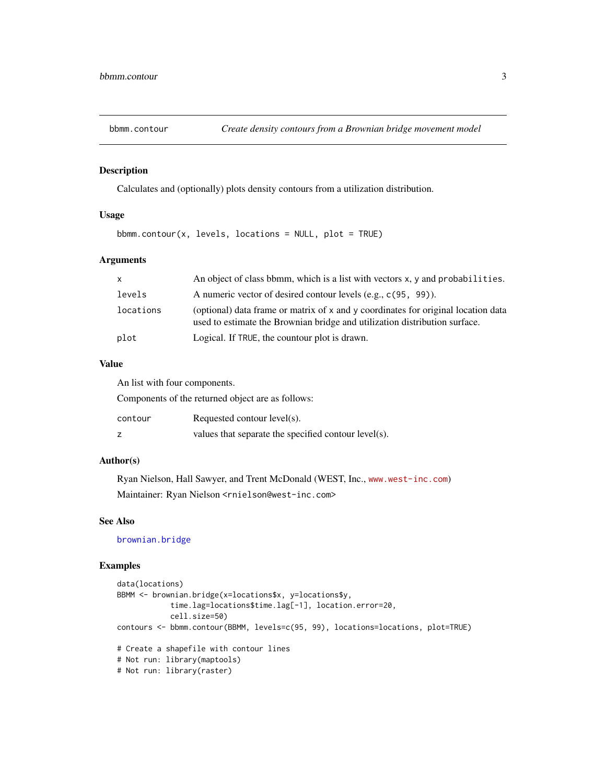<span id="page-2-1"></span><span id="page-2-0"></span>

# Description

Calculates and (optionally) plots density contours from a utilization distribution.

#### Usage

bbmm.contour(x, levels, locations = NULL, plot = TRUE)

# Arguments

| X         | An object of class bomm, which is a list with vectors x, y and probabilities.                                                                                   |
|-----------|-----------------------------------------------------------------------------------------------------------------------------------------------------------------|
| levels    | A numeric vector of desired contour levels (e.g., c(95, 99)).                                                                                                   |
| locations | (optional) data frame or matrix of x and y coordinates for original location data<br>used to estimate the Brownian bridge and utilization distribution surface. |
| plot      | Logical. If TRUE, the countour plot is drawn.                                                                                                                   |

#### Value

An list with four components.

Components of the returned object are as follows:

| contour | Requested contour $level(s)$ .                       |
|---------|------------------------------------------------------|
|         | values that separate the specified contour level(s). |

#### Author(s)

Ryan Nielson, Hall Sawyer, and Trent McDonald (WEST, Inc., <www.west-inc.com>) Maintainer: Ryan Nielson <rnielson@west-inc.com>

# See Also

[brownian.bridge](#page-4-1)

```
data(locations)
BBMM <- brownian.bridge(x=locations$x, y=locations$y,
            time.lag=locations$time.lag[-1], location.error=20,
            cell.size=50)
contours <- bbmm.contour(BBMM, levels=c(95, 99), locations=locations, plot=TRUE)
# Create a shapefile with contour lines
# Not run: library(maptools)
# Not run: library(raster)
```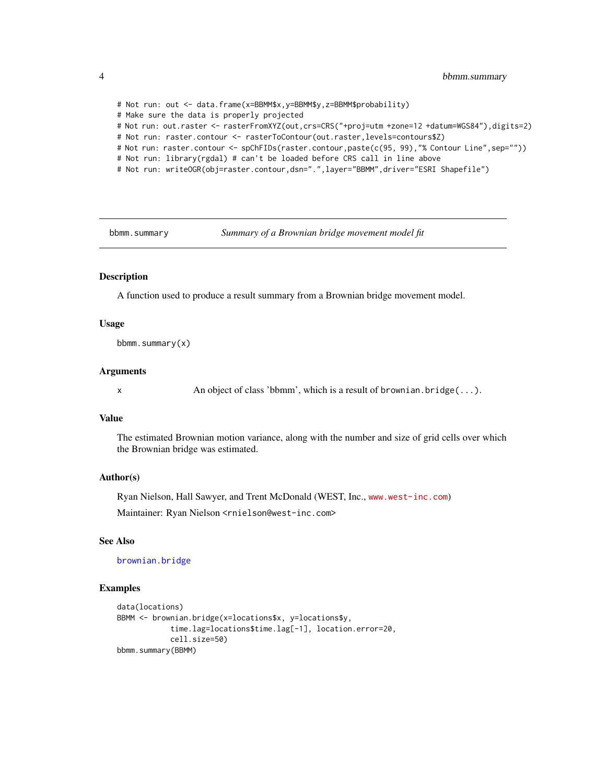# Not run: out <- data.frame(x=BBMM\$x,y=BBMM\$y,z=BBMM\$probability) # Make sure the data is properly projected # Not run: out.raster <- rasterFromXYZ(out,crs=CRS("+proj=utm +zone=12 +datum=WGS84"),digits=2) # Not run: raster.contour <- rasterToContour(out.raster,levels=contours\$Z) # Not run: raster.contour <- spChFIDs(raster.contour,paste(c(95, 99),"% Contour Line",sep="")) # Not run: library(rgdal) # can't be loaded before CRS call in line above # Not run: writeOGR(obj=raster.contour,dsn=".",layer="BBMM",driver="ESRI Shapefile")

<span id="page-3-1"></span>bbmm.summary *Summary of a Brownian bridge movement model fit*

# **Description**

A function used to produce a result summary from a Brownian bridge movement model.

#### Usage

bbmm.summary(x)

#### Arguments

x An object of class 'bbmm', which is a result of brownian.bridge(...).

#### Value

The estimated Brownian motion variance, along with the number and size of grid cells over which the Brownian bridge was estimated.

#### Author(s)

Ryan Nielson, Hall Sawyer, and Trent McDonald (WEST, Inc., <www.west-inc.com>)

Maintainer: Ryan Nielson <rnielson@west-inc.com>

#### See Also

[brownian.bridge](#page-4-1)

```
data(locations)
BBMM <- brownian.bridge(x=locations$x, y=locations$y,
            time.lag=locations$time.lag[-1], location.error=20,
            cell.size=50)
bbmm.summary(BBMM)
```
<span id="page-3-0"></span>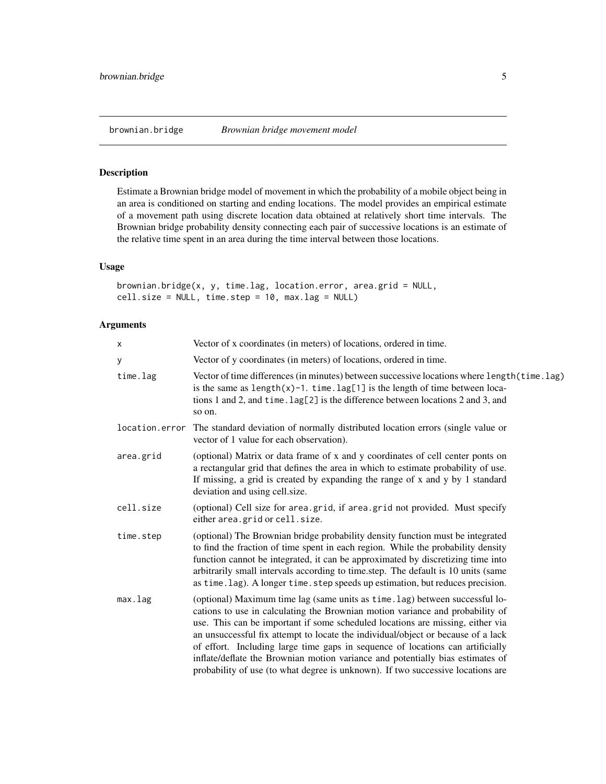# <span id="page-4-1"></span><span id="page-4-0"></span>Description

Estimate a Brownian bridge model of movement in which the probability of a mobile object being in an area is conditioned on starting and ending locations. The model provides an empirical estimate of a movement path using discrete location data obtained at relatively short time intervals. The Brownian bridge probability density connecting each pair of successive locations is an estimate of the relative time spent in an area during the time interval between those locations.

# Usage

```
brownian.bridge(x, y, time.lag, location.error, area.grid = NULL,
cell.size = NULL, time.step = 10, max.lag = NULL)
```
# Arguments

| x              | Vector of x coordinates (in meters) of locations, ordered in time.                                                                                                                                                                                                                                                                                                                                                                                                                                                                                                                         |
|----------------|--------------------------------------------------------------------------------------------------------------------------------------------------------------------------------------------------------------------------------------------------------------------------------------------------------------------------------------------------------------------------------------------------------------------------------------------------------------------------------------------------------------------------------------------------------------------------------------------|
| У              | Vector of y coordinates (in meters) of locations, ordered in time.                                                                                                                                                                                                                                                                                                                                                                                                                                                                                                                         |
| time.lag       | Vector of time differences (in minutes) between successive locations where length (time.lag)<br>is the same as $length(x)-1$ . time. $lag[1]$ is the length of time between loca-<br>tions 1 and 2, and time. lag[2] is the difference between locations 2 and 3, and<br>so on.                                                                                                                                                                                                                                                                                                            |
| location.error | The standard deviation of normally distributed location errors (single value or<br>vector of 1 value for each observation).                                                                                                                                                                                                                                                                                                                                                                                                                                                                |
| area.grid      | (optional) Matrix or data frame of x and y coordinates of cell center ponts on<br>a rectangular grid that defines the area in which to estimate probability of use.<br>If missing, a grid is created by expanding the range of x and y by 1 standard<br>deviation and using cell.size.                                                                                                                                                                                                                                                                                                     |
| cell.size      | (optional) Cell size for area.grid, if area.grid not provided. Must specify<br>either area.grid or cell.size.                                                                                                                                                                                                                                                                                                                                                                                                                                                                              |
| time.step      | (optional) The Brownian bridge probability density function must be integrated<br>to find the fraction of time spent in each region. While the probability density<br>function cannot be integrated, it can be approximated by discretizing time into<br>arbitrarily small intervals according to time.step. The default is 10 units (same<br>as time.lag). A longer time.step speeds up estimation, but reduces precision.                                                                                                                                                                |
| max.lag        | (optional) Maximum time lag (same units as time. lag) between successful lo-<br>cations to use in calculating the Brownian motion variance and probability of<br>use. This can be important if some scheduled locations are missing, either via<br>an unsuccessful fix attempt to locate the individual/object or because of a lack<br>of effort. Including large time gaps in sequence of locations can artificially<br>inflate/deflate the Brownian motion variance and potentially bias estimates of<br>probability of use (to what degree is unknown). If two successive locations are |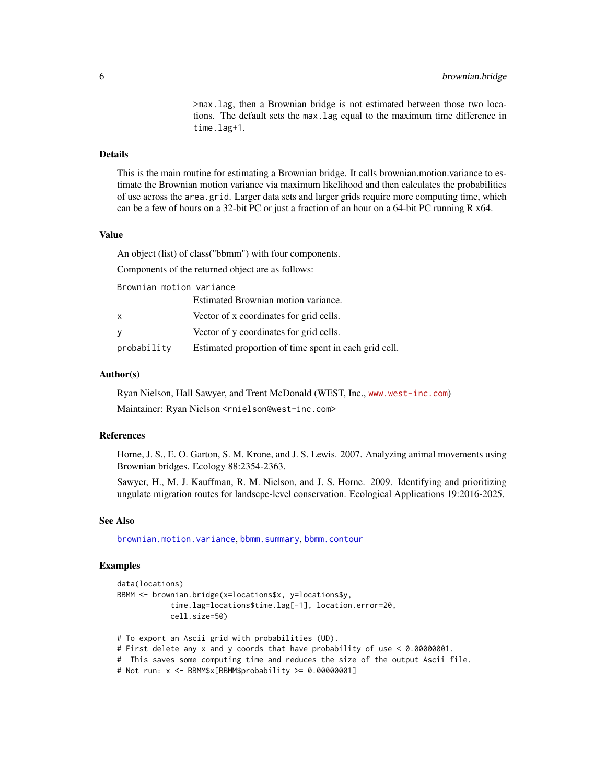>max.lag, then a Brownian bridge is not estimated between those two locations. The default sets the max.lag equal to the maximum time difference in time.lag+1.

#### <span id="page-5-0"></span>Details

This is the main routine for estimating a Brownian bridge. It calls brownian.motion.variance to estimate the Brownian motion variance via maximum likelihood and then calculates the probabilities of use across the area.grid. Larger data sets and larger grids require more computing time, which can be a few of hours on a 32-bit PC or just a fraction of an hour on a 64-bit PC running R  $x$ 64.

#### Value

An object (list) of class("bbmm") with four components.

Components of the returned object are as follows:

Brownian motion variance

|             | Estimated Brownian motion variance.                   |
|-------------|-------------------------------------------------------|
| x           | Vector of x coordinates for grid cells.               |
| у           | Vector of y coordinates for grid cells.               |
| probability | Estimated proportion of time spent in each grid cell. |

# Author(s)

Ryan Nielson, Hall Sawyer, and Trent McDonald (WEST, Inc., <www.west-inc.com>) Maintainer: Ryan Nielson <rnielson@west-inc.com>

#### References

Horne, J. S., E. O. Garton, S. M. Krone, and J. S. Lewis. 2007. Analyzing animal movements using Brownian bridges. Ecology 88:2354-2363.

Sawyer, H., M. J. Kauffman, R. M. Nielson, and J. S. Horne. 2009. Identifying and prioritizing ungulate migration routes for landscpe-level conservation. Ecological Applications 19:2016-2025.

#### See Also

[brownian.motion.variance](#page-6-1), [bbmm.summary](#page-3-1), [bbmm.contour](#page-2-1)

```
data(locations)
BBMM <- brownian.bridge(x=locations$x, y=locations$y,
            time.lag=locations$time.lag[-1], location.error=20,
            cell.size=50)
# To export an Ascii grid with probabilities (UD).
# First delete any x and y coords that have probability of use < 0.00000001.
# This saves some computing time and reduces the size of the output Ascii file.
```

```
# Not run: x <- BBMM$x[BBMM$probability >= 0.00000001]
```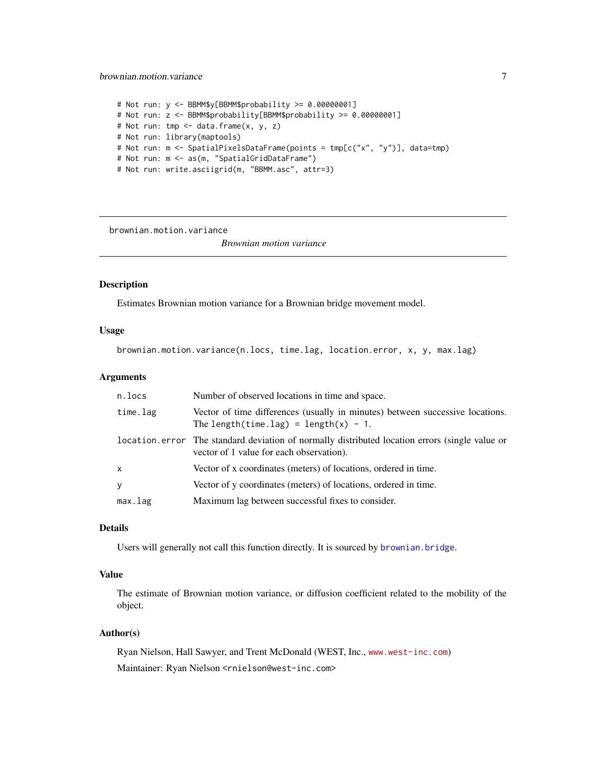#### <span id="page-6-0"></span>brownian.motion.variance 7

```
# Not run: y <- BBMM$y[BBMM$probability >= 0.00000001]
# Not run: z <- BBMM$probability[BBMM$probability >= 0.00000001]
# Not run: tmp <- data.frame(x, y, z)
# Not run: library(maptools)
# Not run: m <- SpatialPixelsDataFrame(points = tmp[c("x", "y")], data=tmp)
# Not run: m <- as(m, "SpatialGridDataFrame")
# Not run: write.asciigrid(m, "BBMM.asc", attr=3)
```
<span id="page-6-1"></span>brownian.motion.variance

*Brownian motion variance*

# Description

Estimates Brownian motion variance for a Brownian bridge movement model.

#### Usage

brownian.motion.variance(n.locs, time.lag, location.error, x, y, max.lag)

# Arguments

| n.locs       | Number of observed locations in time and space.                                                                                            |
|--------------|--------------------------------------------------------------------------------------------------------------------------------------------|
| time.lag     | Vector of time differences (usually in minutes) between successive locations.<br>The length(time.lag) = length(x) - 1.                     |
|              | location error The standard deviation of normally distributed location errors (single value or<br>vector of 1 value for each observation). |
| $\mathsf{x}$ | Vector of x coordinates (meters) of locations, ordered in time.                                                                            |
| y            | Vector of y coordinates (meters) of locations, ordered in time.                                                                            |
| max.lag      | Maximum lag between successful fixes to consider.                                                                                          |

# Details

Users will generally not call this function directly. It is sourced by [brownian.bridge](#page-4-1).

#### Value

The estimate of Brownian motion variance, or diffusion coefficient related to the mobility of the object.

# Author(s)

Ryan Nielson, Hall Sawyer, and Trent McDonald (WEST, Inc., <www.west-inc.com>) Maintainer: Ryan Nielson <rnielson@west-inc.com>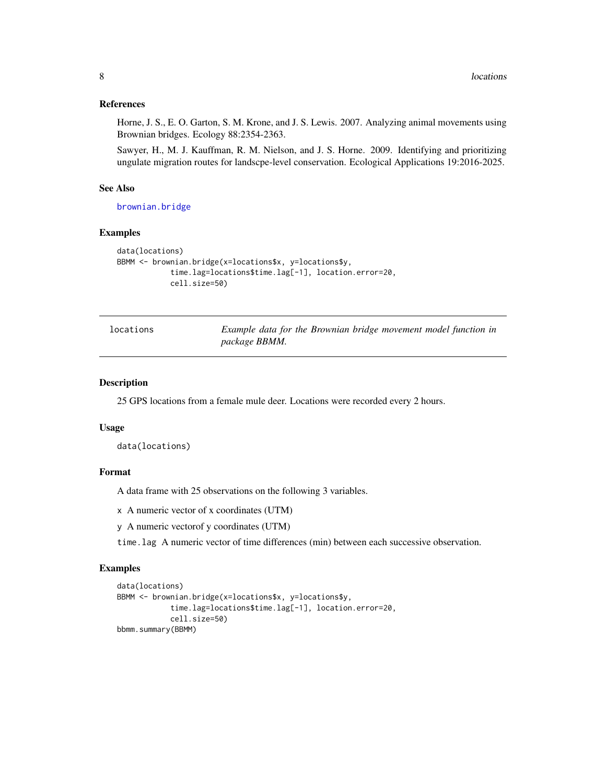#### References

Horne, J. S., E. O. Garton, S. M. Krone, and J. S. Lewis. 2007. Analyzing animal movements using Brownian bridges. Ecology 88:2354-2363.

Sawyer, H., M. J. Kauffman, R. M. Nielson, and J. S. Horne. 2009. Identifying and prioritizing ungulate migration routes for landscpe-level conservation. Ecological Applications 19:2016-2025.

#### See Also

[brownian.bridge](#page-4-1)

#### Examples

```
data(locations)
BBMM <- brownian.bridge(x=locations$x, y=locations$y,
            time.lag=locations$time.lag[-1], location.error=20,
            cell.size=50)
```

```
locations Example data for the Brownian bridge movement model function in
                     package BBMM.
```
### Description

25 GPS locations from a female mule deer. Locations were recorded every 2 hours.

#### Usage

```
data(locations)
```
#### Format

A data frame with 25 observations on the following 3 variables.

x A numeric vector of x coordinates (UTM)

```
y A numeric vectorof y coordinates (UTM)
```
time.lag A numeric vector of time differences (min) between each successive observation.

```
data(locations)
BBMM <- brownian.bridge(x=locations$x, y=locations$y,
            time.lag=locations$time.lag[-1], location.error=20,
            cell.size=50)
bbmm.summary(BBMM)
```
<span id="page-7-0"></span>